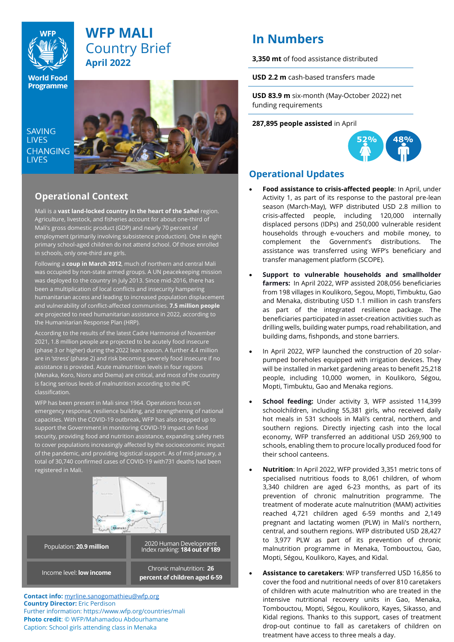

## **WFP MALI** Country Brief **April 2022**

**World Food Programme** 

SAVING **TIVES CHANGING LIVES** 



## **Operational Context**

Mali is a **vast land-locked country in the heart of the Sahel** region. Agriculture, livestock, and fisheries account for about one-third of Mali's gross domestic product (GDP) and nearly 70 percent of employment (primarily involving subsistence production). One in eight primary school-aged children do not attend school. Of those enrolled in schools, only one-third are girls.

Following a **coup in March 2012**, much of northern and central Mali was occupied by non-state armed groups. A UN peacekeeping mission was deployed to the country in July 2013. Since mid-2016, there has been a multiplication of local conflicts and insecurity hampering humanitarian access and leading to increased population displacement and vulnerability of conflict-affected communities. **7.5 million people** are projected to need humanitarian assistance in 2022, according to the Humanitarian Response Plan (HRP).

According to the results of the latest Cadre Harmonisé of November 2021, 1.8 million people are projected to be acutely food insecure (phase 3 or higher) during the 2022 lean season. A further 4.4 million are in 'stress' (phase 2) and risk becoming severely food insecure if no assistance is provided. Acute malnutrition levels in four regions (Menaka, Koro, Nioro and Diema) are critical, and most of the country is facing serious levels of malnutrition according to the IPC classification.

WFP has been present in Mali since 1964. Operations focus on emergency response, resilience building, and strengthening of national capacities. With the COVID-19 outbreak, WFP has also stepped up to support the Government in monitoring COVID-19 impact on food security, providing food and nutrition assistance, expanding safety nets to cover populations increasingly affected by the socioeconomic impact of the pandemic, and providing logistical support. As of mid-January, a total of 30,740 confirmed cases of COVID-19 with731 deaths had been registered in Mali.



**Contact info:** [myrline.sanogomathieu@wfp.org](mailto:myrline.sanogomathieu@wfp.org) **Country Director:** Eric Perdison Further information: <https://www.wfp.org/countries/mali> **Photo credit**: © WFP/Mahamadou Abdourhamane Caption: School girls attending class in Menaka

# **In Numbers**

**3,350 mt** of food assistance distributed

**USD 2.2 m** cash-based transfers made

**USD 83.9 m** six-month (May-October 2022) net funding requirements

#### **287,895 people assisted** in April



## **Operational Updates**

- **Food assistance to crisis-affected people**: In April, under Activity 1, as part of its response to the pastoral pre-lean season (March-May), WFP distributed USD 2.8 million to crisis-affected people, including 120,000 internally displaced persons (IDPs) and 250,000 vulnerable resident households through e-vouchers and mobile money, to complement the Government's distributions. The assistance was transferred using WFP's beneficiary and transfer management platform (SCOPE).
- **Support to vulnerable households and smallholder farmers:** In April 2022, WFP assisted 208,056 beneficiaries from 198 villages in Koulikoro, Segou, Mopti, Timbuktu, Gao and Menaka, distributing USD 1.1 million in cash transfers as part of the integrated resilience package. The beneficiaries participated in asset-creation activities such as drilling wells, building water pumps, road rehabilitation, and building dams, fishponds, and stone barriers.
- In April 2022, WFP launched the construction of 20 solarpumped boreholes equipped with irrigation devices. They will be installed in market gardening areas to benefit 25,218 people, including 10,000 women, in Koulikoro, Ségou, Mopti, Timbuktu, Gao and Menaka regions.
- **School feeding:** Under activity 3, WFP assisted 114,399 schoolchildren, including 55,381 girls, who received daily hot meals in 531 schools in Mali's central, northern, and southern regions. Directly injecting cash into the local economy, WFP transferred an additional USD 269,900 to schools, enabling them to procure locally produced food for their school canteens.
- **Nutrition**: In April 2022, WFP provided 3,351 metric tons of specialised nutritious foods to 8,061 children, of whom 3,340 children are aged 6-23 months, as part of its prevention of chronic malnutrition programme. The treatment of moderate acute malnutrition (MAM) activities reached 4,721 children aged 6-59 months and 2,149 pregnant and lactating women (PLW) in Mali's northern, central, and southern regions. WFP distributed USD 28,427 to 3,977 PLW as part of its prevention of chronic malnutrition programme in Menaka, Tombouctou, Gao, Mopti, Ségou, Koulikoro, Kayes, and Kidal.
- **Assistance to caretakers**: WFP transferred USD 16,856 to cover the food and nutritional needs of over 810 caretakers of children with acute malnutrition who are treated in the intensive nutritional recovery units in Gao, Menaka, Tombouctou, Mopti, Ségou, Koulikoro, Kayes, Sikasso, and Kidal regions. Thanks to this support, cases of treatment drop-out continue to fall as caretakers of children on treatment have access to three meals a day.